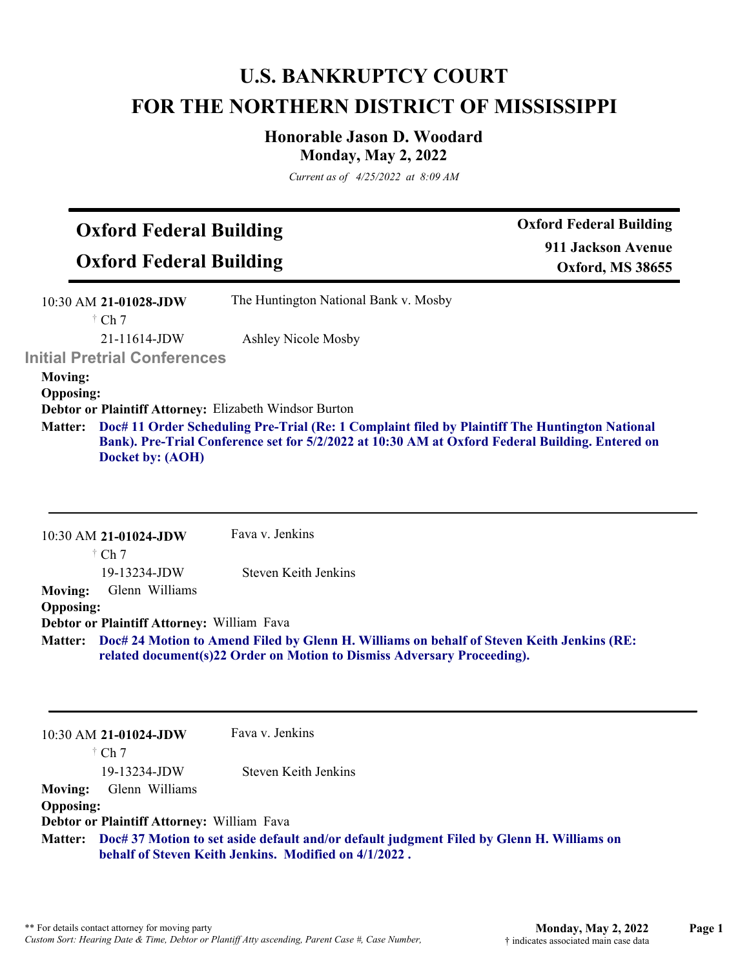## **U.S. BANKRUPTCY COURT FOR THE NORTHERN DISTRICT OF MISSISSIPPI**

## **Honorable Jason D. Woodard Monday, May 2, 2022**

*Current as of 4/25/2022 at 8:09 AM*

| <b>Oxford Federal Building</b>          |                                       | <b>Oxford Federal Building</b>                |
|-----------------------------------------|---------------------------------------|-----------------------------------------------|
| <b>Oxford Federal Building</b>          |                                       | 911 Jackson Avenue<br><b>Oxford, MS 38655</b> |
| 10:30 AM 21-01028-JDW<br>$\dagger$ Ch 7 | The Huntington National Bank v. Mosby |                                               |

 $Cn$  / 21-11614-JDW

Ashley Nicole Mosby

**Initial Pretrial Conferences** 

**Moving:**

**Opposing:**

**Debtor or Plaintiff Attorney:** Elizabeth Windsor Burton

**Doc# 11 Order Scheduling Pre-Trial (Re: 1 Complaint filed by Plaintiff The Huntington National Matter: Bank). Pre-Trial Conference set for 5/2/2022 at 10:30 AM at Oxford Federal Building. Entered on Docket by: (AOH)**

|                  | 10:30 AM 21-01024-JDW                      | Fava v. Jenkins                                                                                                                                                              |
|------------------|--------------------------------------------|------------------------------------------------------------------------------------------------------------------------------------------------------------------------------|
|                  | $\dagger$ Ch 7                             |                                                                                                                                                                              |
|                  | 19-13234-JDW                               | Steven Keith Jenkins                                                                                                                                                         |
| <b>Moving:</b>   | Glenn Williams                             |                                                                                                                                                                              |
| <b>Opposing:</b> |                                            |                                                                                                                                                                              |
|                  | Debtor or Plaintiff Attorney: William Fava |                                                                                                                                                                              |
|                  |                                            | Matter: Doc# 24 Motion to Amend Filed by Glenn H. Williams on behalf of Steven Keith Jenkins (RE:<br>related document(s)22 Order on Motion to Dismiss Adversary Proceeding). |

| $10:30$ AM 21-01024-JDW                                                                                                                                    | Fava v. Jenkins                            |  |
|------------------------------------------------------------------------------------------------------------------------------------------------------------|--------------------------------------------|--|
| $\dagger$ Ch 7                                                                                                                                             |                                            |  |
| 19-13234-JDW                                                                                                                                               | Steven Keith Jenkins                       |  |
| <b>Moving:</b>                                                                                                                                             | Glenn Williams                             |  |
| <b>Opposing:</b>                                                                                                                                           |                                            |  |
|                                                                                                                                                            | Debtor or Plaintiff Attorney: William Fava |  |
| Matter: Doc# 37 Motion to set aside default and/or default judgment Filed by Glenn H. Williams on<br>behalf of Steven Keith Jenkins. Modified on 4/1/2022. |                                            |  |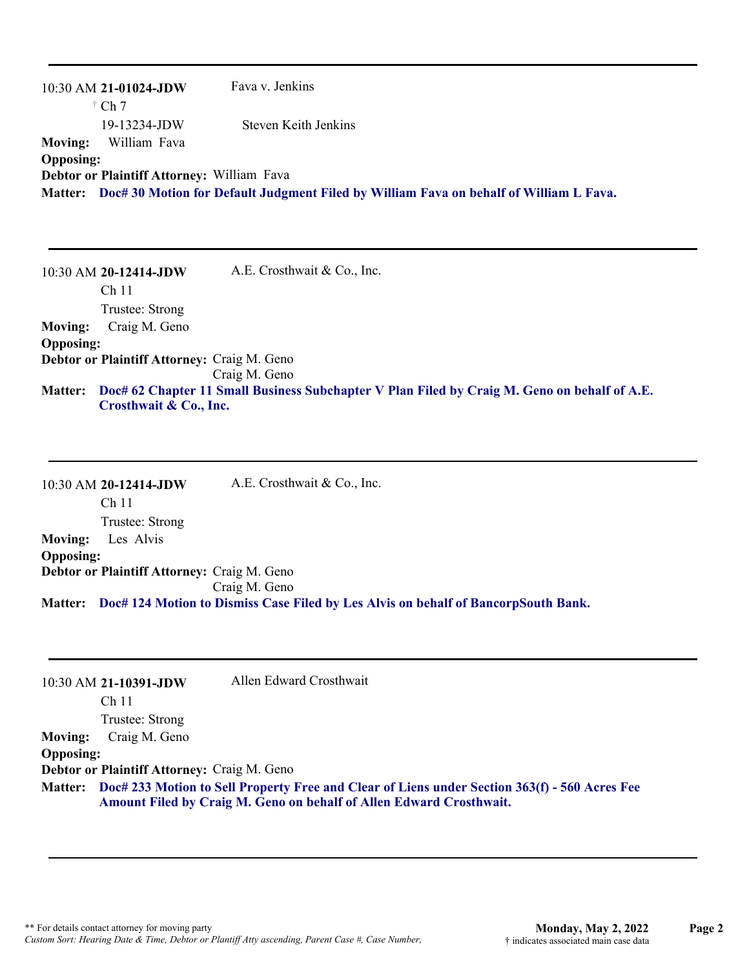|                  | 10:30 AM 21-01024-JDW                      | Fava v. Jenkins                                                                                |
|------------------|--------------------------------------------|------------------------------------------------------------------------------------------------|
|                  | $\dagger$ Ch 7                             |                                                                                                |
|                  | 19-13234-JDW                               | Steven Keith Jenkins                                                                           |
| <b>Moving:</b>   | William Fava                               |                                                                                                |
| <b>Opposing:</b> |                                            |                                                                                                |
|                  | Debtor or Plaintiff Attorney: William Fava |                                                                                                |
|                  |                                            | Matter: Doc# 30 Motion for Default Judgment Filed by William Fava on behalf of William L Fava. |
|                  |                                            |                                                                                                |

|                  | 10:30 AM 20-12414-JDW                       | A.E. Crosthwait & Co., Inc.                                                                  |
|------------------|---------------------------------------------|----------------------------------------------------------------------------------------------|
|                  | Ch <sub>11</sub>                            |                                                                                              |
|                  | Trustee: Strong                             |                                                                                              |
| <b>Moving:</b>   | Craig M. Geno                               |                                                                                              |
| <b>Opposing:</b> |                                             |                                                                                              |
|                  | Debtor or Plaintiff Attorney: Craig M. Geno |                                                                                              |
|                  |                                             | Craig M. Geno                                                                                |
| <b>Matter:</b>   | $\alpha$ a no $\alpha$ in                   | Doc# 62 Chapter 11 Small Business Subchapter V Plan Filed by Craig M. Geno on behalf of A.E. |

**Crosthwait & Co., Inc.**

10:30 AM **20-12414-JDW**  Ch 11 Trustee: Strong A.E. Crosthwait & Co., Inc. **Moving:** Les Alvis **Opposing: Debtor or Plaintiff Attorney:** Craig M. Geno Craig M. Geno **Matter: Doc# 124 Motion to Dismiss Case Filed by Les Alvis on behalf of BancorpSouth Bank.**

|                  | 10:30 AM 21-10391-JDW                       | Allen Edward Crosthwait                                                                                                                                                      |
|------------------|---------------------------------------------|------------------------------------------------------------------------------------------------------------------------------------------------------------------------------|
|                  | Ch <sub>11</sub>                            |                                                                                                                                                                              |
|                  | Trustee: Strong                             |                                                                                                                                                                              |
| <b>Moving:</b>   | Craig M. Geno                               |                                                                                                                                                                              |
| <b>Opposing:</b> |                                             |                                                                                                                                                                              |
|                  | Debtor or Plaintiff Attorney: Craig M. Geno |                                                                                                                                                                              |
|                  |                                             | Matter: Doc# 233 Motion to Sell Property Free and Clear of Liens under Section 363(f) - 560 Acres Fee<br>Amount Filed by Craig M. Geno on behalf of Allen Edward Crosthwait. |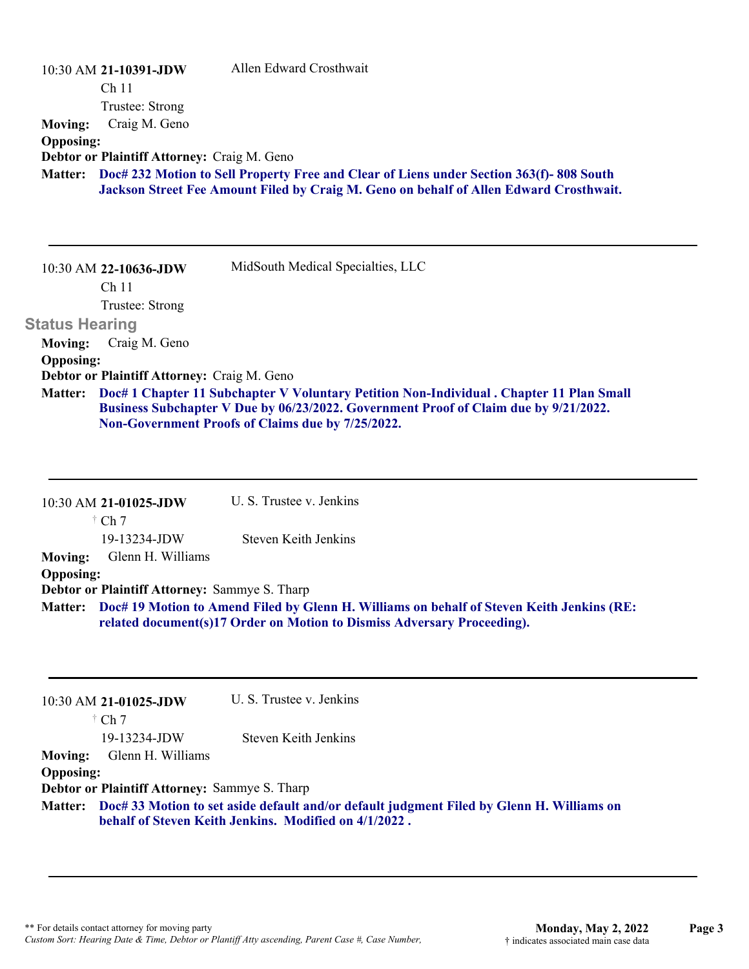|                       | 10:30 AM 21-10391-JDW<br>Ch <sub>11</sub><br>Trustee: Strong | Allen Edward Crosthwait                                                                                                                                                                                                               |
|-----------------------|--------------------------------------------------------------|---------------------------------------------------------------------------------------------------------------------------------------------------------------------------------------------------------------------------------------|
| <b>Moving:</b>        | Craig M. Geno                                                |                                                                                                                                                                                                                                       |
| <b>Opposing:</b>      |                                                              |                                                                                                                                                                                                                                       |
|                       | Debtor or Plaintiff Attorney: Craig M. Geno                  |                                                                                                                                                                                                                                       |
| <b>Matter:</b>        |                                                              | Doc# 232 Motion to Sell Property Free and Clear of Liens under Section 363(f)-808 South<br>Jackson Street Fee Amount Filed by Craig M. Geno on behalf of Allen Edward Crosthwait.                                                     |
|                       | $10:30$ AM 22-10636-JDW                                      | MidSouth Medical Specialties, LLC                                                                                                                                                                                                     |
|                       | Ch <sub>11</sub>                                             |                                                                                                                                                                                                                                       |
|                       | Trustee: Strong                                              |                                                                                                                                                                                                                                       |
| <b>Status Hearing</b> |                                                              |                                                                                                                                                                                                                                       |
| <b>Moving:</b>        | Craig M. Geno                                                |                                                                                                                                                                                                                                       |
| <b>Opposing:</b>      | Debtor or Plaintiff Attorney: Craig M. Geno                  |                                                                                                                                                                                                                                       |
| <b>Matter:</b>        |                                                              | Doc# 1 Chapter 11 Subchapter V Voluntary Petition Non-Individual . Chapter 11 Plan Small<br>Business Subchapter V Due by 06/23/2022. Government Proof of Claim due by 9/21/2022.<br>Non-Government Proofs of Claims due by 7/25/2022. |

|                  | 10:30 AM 21-01025-JDW                                                                                                                                                        | U. S. Trustee v. Jenkins |
|------------------|------------------------------------------------------------------------------------------------------------------------------------------------------------------------------|--------------------------|
|                  | $\dagger$ Ch 7                                                                                                                                                               |                          |
|                  | 19-13234-JDW                                                                                                                                                                 | Steven Keith Jenkins     |
|                  | <b>Moving:</b> Glenn H. Williams                                                                                                                                             |                          |
| <b>Opposing:</b> |                                                                                                                                                                              |                          |
|                  | <b>Debtor or Plaintiff Attorney: Sammye S. Tharp</b>                                                                                                                         |                          |
|                  | Matter: Doc# 19 Motion to Amend Filed by Glenn H. Williams on behalf of Steven Keith Jenkins (RE:<br>related document(s)17 Order on Motion to Dismiss Adversary Proceeding). |                          |

|                  | 10:30 AM 21-01025-JDW                                                                             | U. S. Trustee v. Jenkins |
|------------------|---------------------------------------------------------------------------------------------------|--------------------------|
|                  | $\dagger$ Ch 7                                                                                    |                          |
|                  | $19-13234$ -JDW                                                                                   | Steven Keith Jenkins     |
| <b>Moving:</b>   | Glenn H. Williams                                                                                 |                          |
| <b>Opposing:</b> |                                                                                                   |                          |
|                  | <b>Debtor or Plaintiff Attorney: Sammye S. Tharp</b>                                              |                          |
|                  | Matter: Doc# 33 Motion to set aside default and/or default judgment Filed by Glenn H. Williams on |                          |
|                  | behalf of Steven Keith Jenkins. Modified on 4/1/2022.                                             |                          |
|                  |                                                                                                   |                          |